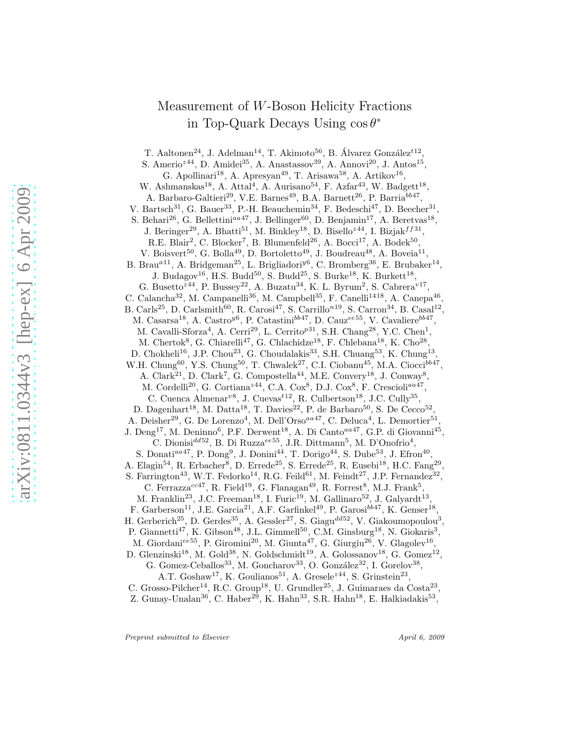# Measurement of W-Boson Helicity Fractions in Top-Quark Decays Using  $\cos \theta^*$

T. Aaltonen<sup>24</sup>, J. Adelman<sup>14</sup>, T. Akimoto<sup>56</sup>, B. Álvarez González<sup> $t12$ </sup>,

S. Amerio<sup> $z^{44}$ </sup>, D. Amidei<sup>35</sup>, A. Anastassov<sup>39</sup>, A. Annovi<sup>20</sup>, J. Antos<sup>15</sup>, G. Apollinari<sup>18</sup>, A. Apresyan<sup>49</sup>, T. Arisawa<sup>58</sup>, A. Artikov<sup>16</sup>, W. Ashmanskas<sup>18</sup>, A. Attal<sup>4</sup>, A. Aurisano<sup>54</sup>, F. Azfar<sup>43</sup>, W. Badgett<sup>18</sup>, A. Barbaro-Galtieri<sup>29</sup>, V.E. Barnes<sup>49</sup>, B.A. Barnett<sup>26</sup>, P. Barria<sup>bb47</sup>, V. Bartsch<sup>31</sup>, G. Bauer<sup>33</sup>, P.-H. Beauchemin<sup>34</sup>, F. Bedeschi<sup>47</sup>, D. Beecher<sup>31</sup>, S. Behari<sup>26</sup>, G. Bellettini<sup>aa 47</sup>, J. Bellinger<sup>60</sup>, D. Benjamin<sup>17</sup>, A. Beretvas<sup>18</sup>, J. Beringer<sup>29</sup>, A. Bhatti<sup>51</sup>, M. Binkley<sup>18</sup>, D. Bisello<sup>z44</sup>, I. Bizjak<sup>f f 31</sup>, R.E. Blair<sup>2</sup>, C. Blocker<sup>7</sup>, B. Blumenfeld<sup>26</sup>, A. Bocci<sup>17</sup>, A. Bodek<sup>50</sup>, V. Boisvert<sup>50</sup>, G. Bolla<sup>49</sup>, D. Bortoletto<sup>49</sup>, J. Boudreau<sup>48</sup>, A. Boveia<sup>11</sup>, B. Brau<sup>a11</sup>, A. Bridgeman<sup>25</sup>, L. Brigliadori<sup>y6</sup>, C. Bromberg<sup>36</sup>, E. Brubaker<sup>14</sup>, J. Budagov<sup>16</sup>, H.S. Budd<sup>50</sup>, S. Budd<sup>25</sup>, S. Burke<sup>18</sup>, K. Burkett<sup>18</sup>, G. Busetto<sup> $z44$ </sup>, P. Bussey<sup>22</sup>, A. Buzatu<sup>34</sup>, K. L. Byrum<sup>2</sup>, S. Cabrera<sup>v17</sup>, C. Calancha<sup>32</sup>, M. Campanelli<sup>36</sup>, M. Campbell<sup>35</sup>, F. Canelli<sup>1418</sup>, A. Canepa<sup>46</sup>, B. Carls<sup>25</sup>, D. Carlsmith<sup>60</sup>, R. Carosi<sup>47</sup>, S. Carrillo<sup>n19</sup>, S. Carron<sup>34</sup>, B. Casal<sup>12</sup>, M. Casarsa<sup>18</sup>, A. Castro<sup>y6</sup>, P. Catastini<sup>bb47</sup>, D. Cauz<sup>ee55</sup>, V. Cavaliere<sup>bb47</sup>, M. Cavalli-Sforza<sup>4</sup>, A. Cerri<sup>29</sup>, L. Cerrito<sup>p31</sup>, S.H. Chang<sup>28</sup>, Y.C. Chen<sup>1</sup>, M. Chertok<sup>8</sup>, G. Chiarelli<sup>47</sup>, G. Chlachidze<sup>18</sup>, F. Chlebana<sup>18</sup>, K. Cho<sup>28</sup>, D. Chokheli<sup>16</sup>, J.P. Chou<sup>23</sup>, G. Choudalakis<sup>33</sup>, S.H. Chuang<sup>53</sup>, K. Chung<sup>13</sup>, W.H. Chung<sup>60</sup>, Y.S. Chung<sup>50</sup>, T. Chwalek<sup>27</sup>, C.I. Ciobanu<sup>45</sup>, M.A. Ciocci<sup>bb47</sup>, A. Clark<sup>21</sup>, D. Clark<sup>7</sup>, G. Compostella<sup>44</sup>, M.E. Convery<sup>18</sup>, J. Conway<sup>8</sup>, M. Cordelli<sup>20</sup>, G. Cortiana<sup>z44</sup>, C.A. Cox<sup>8</sup>, D.J. Cox<sup>8</sup>, F. Crescioli<sup>aa47</sup>, C. Cuenca Almenar<sup>v8</sup>, J. Cuevas<sup> $t12$ </sup>, R. Culbertson<sup>18</sup>, J.C. Cully<sup>35</sup>, D. Dagenhart<sup>18</sup>, M. Datta<sup>18</sup>, T. Davies<sup>22</sup>, P. de Barbaro<sup>50</sup>, S. De Cecco<sup>52</sup>, A. Deisher<sup>29</sup>, G. De Lorenzo<sup>4</sup>, M. Dell'Orso<sup>aa47</sup>, C. Deluca<sup>4</sup>, L. Demortier<sup>51</sup>, J. Deng<sup>17</sup>, M. Deninno<sup>6</sup>, P.F. Derwent<sup>18</sup>, A. Di Canto<sup>aa47</sup>, G.P. di Giovanni<sup>45</sup>, C. Dionisi<sup>dd52</sup>, B. Di Ruzza<sup>ee55</sup>, J.R. Dittmann<sup>5</sup>, M. D'Onofrio<sup>4</sup>, S. Donati<sup>aa47</sup>, P. Dong<sup>9</sup>, J. Donini<sup>44</sup>, T. Dorigo<sup>44</sup>, S. Dube<sup>53</sup>, J. Efron<sup>40</sup>, A. Elagin<sup>54</sup>, R. Erbacher<sup>8</sup>, D. Errede<sup>25</sup>, S. Errede<sup>25</sup>, R. Eusebi<sup>18</sup>, H.C. Fang<sup>29</sup>, S. Farrington<sup>43</sup>, W.T. Fedorko<sup>14</sup>, R.G. Feild<sup>61</sup>, M. Feindt<sup>27</sup>, J.P. Fernandez<sup>32</sup>, C. Ferrazza<sup>cc47</sup>, R. Field<sup>19</sup>, G. Flanagan<sup>49</sup>, R. Forrest<sup>8</sup>, M.J. Frank<sup>5</sup>, M. Franklin<sup>23</sup>, J.C. Freeman<sup>18</sup>, I. Furic<sup>19</sup>, M. Gallinaro<sup>52</sup>, J. Galyardt<sup>13</sup>, F. Garberson<sup>11</sup>, J.E. Garcia<sup>21</sup>, A.F. Garfinkel<sup>49</sup>, P. Garosi<sup>bb47</sup>, K. Genser<sup>18</sup>, H. Gerberich<sup>25</sup>, D. Gerdes<sup>35</sup>, A. Gessler<sup>27</sup>, S. Giagu<sup>dd52</sup>, V. Giakoumopoulou<sup>3</sup>, P. Giannetti<sup>47</sup>, K. Gibson<sup>48</sup>, J.L. Gimmell<sup>50</sup>, C.M. Ginsburg<sup>18</sup>, N. Giokaris<sup>3</sup>, M. Giordani<sup>ee55</sup>, P. Giromini<sup>20</sup>, M. Giunta<sup>47</sup>, G. Giurgiu<sup>26</sup>, V. Glagolev<sup>16</sup>, D. Glenzinski<sup>18</sup>, M. Gold<sup>38</sup>, N. Goldschmidt<sup>19</sup>, A. Golossanov<sup>18</sup>, G. Gomez<sup>12</sup>,

G. Gomez-Ceballos<sup>33</sup>, M. Goncharov<sup>33</sup>, O. González<sup>32</sup>, I. Gorelov<sup>38</sup>,

A.T. Goshaw<sup>17</sup>, K. Goulianos<sup>51</sup>, A. Gresele<sup> $z$ 44</sup>, S. Grinstein<sup>23</sup>,

C. Grosso-Pilcher<sup>14</sup>, R.C. Group<sup>18</sup>, U. Grundler<sup>25</sup>, J. Guimaraes da Costa<sup>23</sup>,

Z. Gunay-Unalan<sup>36</sup>, C. Haber<sup>29</sup>, K. Hahn<sup>33</sup>, S.R. Hahn<sup>18</sup>, E. Halkiadakis<sup>53</sup>,

Preprint submitted to Elsevier April 6, 2009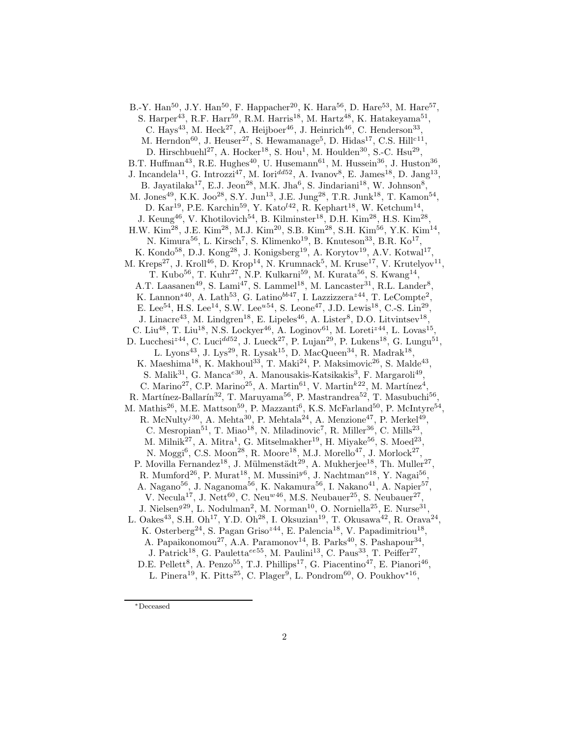B.-Y. Han<sup>50</sup>, J.Y. Han<sup>50</sup>, F. Happacher<sup>20</sup>, K. Hara<sup>56</sup>, D. Hare<sup>53</sup>, M. Hare<sup>57</sup>, S. Harper<sup>43</sup>, R.F. Harr<sup>59</sup>, R.M. Harris<sup>18</sup>, M. Hartz<sup>48</sup>, K. Hatakeyama<sup>51</sup>, C. Hays<sup>43</sup>, M. Heck<sup>27</sup>, A. Heijboer<sup>46</sup>, J. Heinrich<sup>46</sup>, C. Henderson<sup>33</sup>, M. Herndon<sup>60</sup>, J. Heuser<sup>27</sup>, S. Hewamanage<sup>5</sup>, D. Hidas<sup>17</sup>, C.S. Hill<sup>c11</sup>, D. Hirschbuehl<sup>27</sup>, A. Hocker<sup>18</sup>, S. Hou<sup>1</sup>, M. Houlden<sup>30</sup>, S.-C. Hsu<sup>29</sup>, B.T. Huffman<sup>43</sup>, R.E. Hughes<sup>40</sup>, U. Husemann<sup>61</sup>, M. Hussein<sup>36</sup>, J. Huston<sup>36</sup>, J. Incandela<sup>11</sup>, G. Introzzi<sup>47</sup>, M. Iori<sup>dd52</sup>, A. Ivanov<sup>8</sup>, E. James<sup>18</sup>, D. Jang<sup>13</sup>, B. Jayatilaka<sup>17</sup>, E.J. Jeon<sup>28</sup>, M.K. Jha<sup>6</sup>, S. Jindariani<sup>18</sup>, W. Johnson<sup>8</sup>, M. Jones<sup>49</sup>, K.K. Joo<sup>28</sup>, S.Y. Jun<sup>13</sup>, J.E. Jung<sup>28</sup>, T.R. Junk<sup>18</sup>, T. Kamon<sup>54</sup>, D. Kar<sup>19</sup>, P.E. Karchin<sup>59</sup>, Y. Kato<sup> $142$ </sup>, R. Kephart<sup>18</sup>, W. Ketchum<sup>14</sup>, J. Keung<sup>46</sup>, V. Khotilovich<sup>54</sup>, B. Kilminster<sup>18</sup>, D.H. Kim<sup>28</sup>, H.S. Kim<sup>28</sup>, H.W. Kim<sup>28</sup>, J.E. Kim<sup>28</sup>, M.J. Kim<sup>20</sup>, S.B. Kim<sup>28</sup>, S.H. Kim<sup>56</sup>, Y.K. Kim<sup>14</sup>, N. Kimura<sup>56</sup>, L. Kirsch<sup>7</sup>, S. Klimenko<sup>19</sup>, B. Knuteson<sup>33</sup>, B.R. Ko<sup>17</sup>, K. Kondo<sup>58</sup>, D.J. Kong<sup>28</sup>, J. Konigsberg<sup>19</sup>, A. Korytov<sup>19</sup>, A.V. Kotwal<sup>17</sup> , M. Kreps<sup>27</sup>, J. Kroll<sup>46</sup>, D. Krop<sup>14</sup>, N. Krumnack<sup>5</sup>, M. Kruse<sup>17</sup>, V. Krutelyov<sup>11</sup>, T. Kubo $^{56}$ , T. Kuhr<sup>27</sup>, N.P. Kulkarni<sup>59</sup>, M. Kurata $^{56}$ , S. Kwang<sup>14</sup>, A.T. Laasanen<sup>49</sup>, S. Lami<sup>47</sup>, S. Lammel<sup>18</sup>, M. Lancaster<sup>31</sup>, R.L. Lander<sup>8</sup>, K. Lannon<sup>s40</sup>, A. Lath<sup>53</sup>, G. Latino<sup>bb47</sup>, I. Lazzizzera<sup> $z$ 44</sup>, T. LeCompte<sup>2</sup>, E. Lee<sup>54</sup>, H.S. Lee<sup>14</sup>, S.W. Lee<sup> $u54$ </sup>, S. Leone<sup>47</sup>, J.D. Lewis<sup>18</sup>, C.-S. Lin<sup>29</sup>, J. Linacre<sup>43</sup>, M. Lindgren<sup>18</sup>, E. Lipeles<sup>46</sup>, A. Lister<sup>8</sup>, D.O. Litvintsev<sup>18</sup>, C. Liu<sup>48</sup>, T. Liu<sup>18</sup>, N.S. Lockyer<sup>46</sup>, A. Loginov<sup>61</sup>, M. Loreti<sup>z44</sup>, L. Lovas<sup>15</sup>, D. Lucchesi<sup>z44</sup>, C. Luci<sup>dd52</sup>, J. Lueck<sup>27</sup>, P. Lujan<sup>29</sup>, P. Lukens<sup>18</sup>, G. Lungu<sup>51</sup>, L. Lyons<sup>43</sup>, J. Lys<sup>29</sup>, R. Lysak<sup>15</sup>, D. MacQueen<sup>34</sup>, R. Madrak<sup>18</sup>, K. Maeshima<sup>18</sup>, K. Makhoul<sup>33</sup>, T. Maki<sup>24</sup>, P. Maksimovic<sup>26</sup>, S. Malde<sup>43</sup>, S. Malik<sup>31</sup>, G. Manca<sup>e30</sup>, A. Manousakis-Katsikakis<sup>3</sup>, F. Margaroli<sup>49</sup>, C. Marino<sup>27</sup>, C.P. Marino<sup>25</sup>, A. Martin<sup>61</sup>, V. Martin<sup>k22</sup>, M. Martínez<sup>4</sup>, R. Martínez-Ballarín<sup>32</sup>, T. Maruyama<sup>56</sup>, P. Mastrandrea<sup>52</sup>, T. Masubuchi<sup>56</sup> , M. Mathis<sup>26</sup>, M.E. Mattson<sup>59</sup>, P. Mazzanti<sup>6</sup>, K.S. McFarland<sup>50</sup>, P. McIntyre<sup>54</sup>, R. McNulty<sup>j30</sup>, A. Mehta<sup>30</sup>, P. Mehtala<sup>24</sup>, A. Menzione<sup>47</sup>, P. Merkel<sup>49</sup>, C. Mesropian<sup>51</sup>, T. Miao<sup>18</sup>, N. Miladinovic<sup>7</sup>, R. Miller<sup>36</sup>, C. Mills<sup>23</sup>, M. Milnik<sup>27</sup>, A. Mitra<sup>1</sup>, G. Mitselmakher<sup>19</sup>, H. Miyake<sup>56</sup>, S. Moed<sup>23</sup>, N. Moggi<sup>6</sup>, C.S. Moon<sup>28</sup>, R. Moore<sup>18</sup>, M.J. Morello<sup>47</sup>, J. Morlock<sup>27</sup>, P. Movilla Fernandez<sup>18</sup>, J. Mülmenstädt<sup>29</sup>, A. Mukherjee<sup>18</sup>, Th. Muller<sup>27</sup>, R. Mumford<sup>26</sup>, P. Murat<sup>18</sup>, M. Mussini<sup>y6</sup>, J. Nachtman<sup>018</sup>, Y. Nagai<sup>56</sup>, A. Nagano<sup>56</sup>, J. Naganoma<sup>56</sup>, K. Nakamura<sup>56</sup>, I. Nakano<sup>41</sup>, A. Napier<sup>57</sup>, V. Necula<sup>17</sup>, J. Nett<sup>60</sup>, C. Neu<sup>w46</sup>, M.S. Neubauer<sup>25</sup>, S. Neubauer<sup>27</sup>, J. Nielsen<sup>929</sup>, L. Nodulman<sup>2</sup>, M. Norman<sup>10</sup>, O. Norniella<sup>25</sup>, E. Nurse<sup>31</sup>, L. Oakes<sup>43</sup>, S.H. Oh<sup>17</sup>, Y.D. Oh<sup>28</sup>, I. Oksuzian<sup>19</sup>, T. Okusawa<sup>42</sup>, R. Orava<sup>24</sup>, K. Osterberg<sup>24</sup>, S. Pagan Griso<sup> $z$ 44</sup>, E. Palencia<sup>18</sup>, V. Papadimitriou<sup>18</sup>, A. Papaikonomou<sup>27</sup>, A.A. Paramonov<sup>14</sup>, B. Parks<sup>40</sup>, S. Pashapour<sup>34</sup>, J. Patrick<sup>18</sup>, G. Pauletta<sup>ee55</sup>, M. Paulini<sup>13</sup>, C. Paus<sup>33</sup>, T. Peiffer<sup>27</sup>, D.E. Pellett<sup>8</sup>, A. Penzo<sup>55</sup>, T.J. Phillips<sup>17</sup>, G. Piacentino<sup>47</sup>, E. Pianori<sup>46</sup>, L. Pinera<sup>19</sup>, K. Pitts<sup>25</sup>, C. Plager<sup>9</sup>, L. Pondrom<sup>60</sup>, O. Poukhov<sup>\*16</sup>,

<sup>∗</sup>Deceased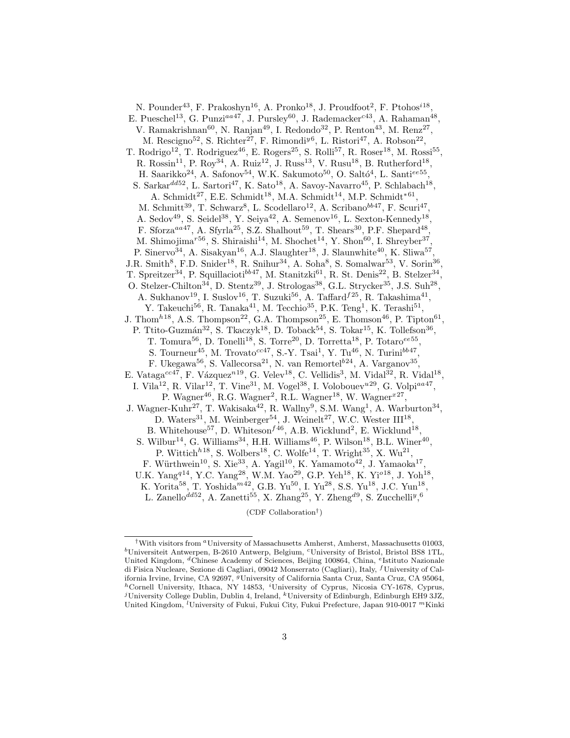N. Pounder<sup>43</sup>, F. Prakoshyn<sup>16</sup>, A. Pronko<sup>18</sup>, J. Proudfoot<sup>2</sup>, F. Ptohos<sup>*i*18</sup>, E. Pueschel<sup>13</sup>, G. Punzi<sup>aa47</sup>, J. Pursley<sup>60</sup>, J. Rademacker<sup>c43</sup>, A. Rahaman<sup>48</sup>, V. Ramakrishnan<sup>60</sup>, N. Ranjan<sup>49</sup>, I. Redondo<sup>32</sup>, P. Renton<sup>43</sup>, M. Renz<sup>27</sup>, M. Rescigno<sup>52</sup>, S. Richter<sup>27</sup>, F. Rimondi<sup>y6</sup>, L. Ristori<sup>47</sup>, A. Robson<sup>22</sup>, T. Rodrigo<sup>12</sup>, T. Rodriguez<sup>46</sup>, E. Rogers<sup>25</sup>, S. Rolli<sup>57</sup>, R. Roser<sup>18</sup>, M. Rossi<sup>55</sup>, R. Rossin<sup>11</sup>, P. Roy<sup>34</sup>, A. Ruiz<sup>12</sup>, J. Russ<sup>13</sup>, V. Rusu<sup>18</sup>, B. Rutherford<sup>18</sup>, H. Saarikko<sup>24</sup>, A. Safonov<sup>54</sup>, W.K. Sakumoto<sup>50</sup>, O. Saltó<sup>4</sup>, L. Santi<sup>ee55</sup>, S. Sarkar $^{dd52}$ , L. Sartori<sup>47</sup>, K. Sato<sup>18</sup>, A. Savoy-Navarro<sup>45</sup>, P. Schlabach<sup>18</sup>, A. Schmidt<sup>27</sup>, E.E. Schmidt<sup>18</sup>, M.A. Schmidt<sup>14</sup>, M.P. Schmidt<sup>\*61</sup>, M. Schmitt<sup>39</sup>, T. Schwarz<sup>8</sup>, L. Scodellaro<sup>12</sup>, A. Scribano<sup>bb47</sup>, F. Scuri<sup>47</sup> , A. Sedov<sup>49</sup>, S. Seidel<sup>38</sup>, Y. Seiya<sup>42</sup>, A. Semenov<sup>16</sup>, L. Sexton-Kennedy<sup>18</sup>, F. Sforza<sup>aa47</sup>, A. Sfyrla<sup>25</sup>, S.Z. Shalhout<sup>59</sup>, T. Shears<sup>30</sup>, P.F. Shepard<sup>48</sup>, M. Shimojima<sup>r56</sup>, S. Shiraishi<sup>14</sup>, M. Shochet<sup>14</sup>, Y. Shon<sup>60</sup>, I. Shreyber<sup>37</sup>, P. Sinervo<sup>34</sup>, A. Sisakyan<sup>16</sup>, A.J. Slaughter<sup>18</sup>, J. Slaunwhite<sup>40</sup>, K. Sliwa<sup>57</sup> , J.R. Smith<sup>8</sup>, F.D. Snider<sup>18</sup>, R. Snihur<sup>34</sup>, A. Soha<sup>8</sup>, S. Somalwar<sup>53</sup>, V. Sorin<sup>36</sup> , T. Spreitzer<sup>34</sup>, P. Squillacioti<sup>bb47</sup>, M. Stanitzki<sup>61</sup>, R. St. Denis<sup>22</sup>, B. Stelzer<sup>34</sup>, O. Stelzer-Chilton<sup>34</sup>, D. Stentz<sup>39</sup>, J. Strologas<sup>38</sup>, G.L. Strycker<sup>35</sup>, J.S. Suh<sup>28</sup>, A. Sukhanov<sup>19</sup>, I. Suslov<sup>16</sup>, T. Suzuki<sup>56</sup>, A. Taffard<sup> $f25$ </sup>, R. Takashima<sup>41</sup>, Y. Takeuchi<sup>56</sup>, R. Tanaka<sup>41</sup>, M. Tecchio<sup>35</sup>, P.K. Teng<sup>1</sup>, K. Terashi<sup>51</sup>, J. Thom<sup>h<sub>18</sub></sup>, A.S. Thompson<sup>22</sup>, G.A. Thompson<sup>25</sup>, E. Thomson<sup>46</sup>, P. Tipton<sup>61</sup>, P. Ttito-Guzmán<sup>32</sup>, S. Tkaczyk<sup>18</sup>, D. Toback<sup>54</sup>, S. Tokar<sup>15</sup>, K. Tollefson<sup>36</sup>, T. Tomura<sup>56</sup>, D. Tonelli<sup>18</sup>, S. Torre<sup>20</sup>, D. Torretta<sup>18</sup>, P. Totaro<sup>ee55</sup>, S. Tourneur<sup>45</sup>, M. Trovato<sup>cc47</sup>, S.-Y. Tsai<sup>1</sup>, Y. Tu<sup>46</sup>, N. Turini<sup>bb47</sup>, F. Ukegawa<sup>56</sup>, S. Vallecorsa<sup>21</sup>, N. van Remortel<sup>b24</sup>, A. Varganov<sup>35</sup>, E. Vataga<sup>cc47</sup>, F. Vázquez<sup>n19</sup>, G. Velev<sup>18</sup>, C. Vellidis<sup>3</sup>, M. Vidal<sup>32</sup>, R. Vidal<sup>18</sup>, I. Vila<sup>12</sup>, R. Vilar<sup>12</sup>, T. Vine<sup>31</sup>, M. Vogel<sup>38</sup>, I. Volobouev<sup>u29</sup>, G. Volpi<sup>aa47</sup>, P. Wagner<sup>46</sup>, R.G. Wagner<sup>2</sup>, R.L. Wagner<sup>18</sup>, W. Wagner<sup> $x27$ </sup>, J. Wagner-Kuhr<sup>27</sup>, T. Wakisaka<sup>42</sup>, R. Wallny<sup>9</sup>, S.M. Wang<sup>1</sup>, A. Warburton<sup>34</sup>, D. Waters<sup>31</sup>, M. Weinberger<sup>54</sup>, J. Weinelt<sup>27</sup>, W.C. Wester  $III^{18}$ , B. Whitehouse<sup>57</sup>, D. Whiteson<sup> $f46$ </sup>, A.B. Wicklund<sup>2</sup>, E. Wicklund<sup>18</sup>, S. Wilbur<sup>14</sup>, G. Williams<sup>34</sup>, H.H. Williams<sup>46</sup>, P. Wilson<sup>18</sup>, B.L. Winer<sup>40</sup>, P. Wittich<sup> $h18$ </sup>, S. Wolbers<sup>18</sup>, C. Wolfe<sup>14</sup>, T. Wright<sup>35</sup>, X. Wu<sup>21</sup>, F. Würthwein<sup>10</sup>, S. Xie<sup>33</sup>, A. Yagil<sup>10</sup>, K. Yamamoto<sup>42</sup>, J. Yamaoka<sup>17</sup>, U.K. Yang<sup>q14</sup>, Y.C. Yang<sup>28</sup>, W.M. Yao<sup>29</sup>, G.P. Yeh<sup>18</sup>, K. Yi<sup>o18</sup>, J. Yoh<sup>18</sup>, K. Yorita<sup>58</sup>, T. Yoshida<sup> $m42$ </sup>, G.B. Yu<sup>50</sup>, I. Yu<sup>28</sup>, S.S. Yu<sup>18</sup>, J.C. Yun<sup>18</sup>, L. Zanello<sup>dd52</sup>, A. Zanetti<sup>55</sup>, X. Zhang<sup>25</sup>, Y. Zheng<sup>d9</sup>, S. Zucchelli<sup>y</sup>,<sup>6</sup>

(CDF Collaboration† )

<sup>&</sup>lt;sup>†</sup>With visitors from <sup>a</sup>University of Massachusetts Amherst, Amherst, Massachusetts 01003,  $b$ Universiteit Antwerpen, B-2610 Antwerp, Belgium, <sup>c</sup>University of Bristol, Bristol BS8 1TL, United Kingdom, <sup>d</sup>Chinese Academy of Sciences, Beijing 100864, China, <sup>e</sup>Istituto Nazionale di Fisica Nucleare, Sezione di Cagliari, 09042 Monserrato (Cagliari), Italy, <sup>f</sup>University of California Irvine, Irvine, CA 92697, <sup>g</sup>University of California Santa Cruz, Santa Cruz, CA 95064,  ${}^h$ Cornell University, Ithaca, NY 14853, <sup>*i*</sup>University of Cyprus, Nicosia CY-1678, Cyprus, <sup>j</sup>University College Dublin, Dublin 4, Ireland, <sup>k</sup>University of Edinburgh, Edinburgh EH9 3JZ, United Kingdom, <sup>*l*</sup>University of Fukui, Fukui City, Fukui Prefecture, Japan 910-0017 <sup>m</sup>Kinki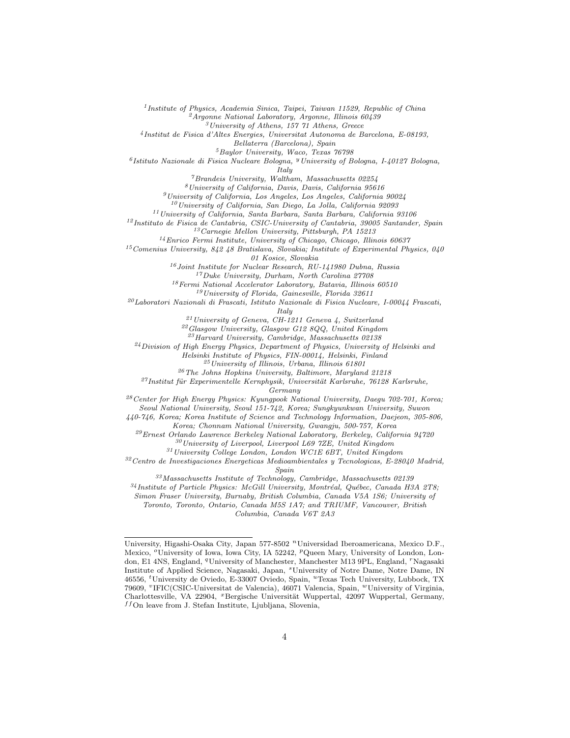<sup>1</sup> Institute of Physics, Academia Sinica, Taipei, Taiwan 11529, Republic of China

 $^{2}A$ rgonne National Laboratory, Argonne, Illinois 60439

 $3$ University of Athens, 157 71 Athens, Greece

4 Institut de Fisica d'Altes Energies, Universitat Autonoma de Barcelona, E-08193,

Bellaterra (Barcelona), Spain

<sup>5</sup>Baylor University, Waco, Texas 76798

<sup>6</sup>Istituto Nazionale di Fisica Nucleare Bologna, <sup>y</sup> University of Bologna, I-40127 Bologna,

Italy

 $^7$ Brandeis University, Waltham, Massachusetts 02254

 $8$ University of California, Davis, Davis, California 95616

 $^{9}$ University of California, Los Angeles, Los Angeles, California 90024

 $10$ University of California, San Diego, La Jolla, California 92093

<sup>11</sup>University of California, Santa Barbara, Santa Barbara, California 93106  $12$ Instituto de Fisica de Cantabria, CSIC-University of Cantabria, 39005 Santander, Spain

<sup>13</sup>Carnegie Mellon University, Pittsburgh, PA 15213

<sup>14</sup>Enrico Fermi Institute, University of Chicago, Chicago, Illinois 60637

<sup>15</sup>Comenius University, 842 48 Bratislava, Slovakia; Institute of Experimental Physics, 040

01 Kosice, Slovakia

 $^{16}Joint\ Institute$  for Nuclear Research, RU-141980 Dubna, Russia

<sup>17</sup>Duke University, Durham, North Carolina 27708

 $^{18}\!$  Fermi National Accelerator Laboratory, Batavia, Illinois 60510

 $19$ University of Florida, Gainesville, Florida 32611

 $^{20}$ Laboratori Nazionali di Frascati, Istituto Nazionale di Fisica Nucleare, I-00044 Frascati,

Italy

<sup>21</sup>University of Geneva, CH-1211 Geneva 4, Switzerland

 $^{22}G$ lasgow University, Glasgow G12 8QQ, United Kingdom

<sup>23</sup>Harvard University, Cambridge, Massachusetts 02138

<sup>24</sup>Division of High Energy Physics, Department of Physics, University of Helsinki and

Helsinki Institute of Physics, FIN-00014, Helsinki, Finland

 $^{25}$ University of Illinois, Urbana, Illinois 61801

 $^{26}\,$  The Johns Hopkins University, Baltimore, Maryland 21218

 $27$ Institut für Experimentelle Kernphysik, Universität Karlsruhe, 76128 Karlsruhe,

Germany

 $28$  Center for High Energy Physics: Kyungpook National University, Daegu 702-701, Korea; Seoul National University, Seoul 151-742, Korea; Sungkyunkwan University, Suwon

440-746, Korea; Korea Institute of Science and Technology Information, Daejeon, 305-806,

Korea; Chonnam National University, Gwangju, 500-757, Korea

 $^{29}$ Ernest Orlando Lawrence Berkeley National Laboratory, Berkeley, California 94720

 $30$ University of Liverpool, Liverpool L69 7ZE, United Kingdom

 $^{31}\!$  University College London, London WC1E 6BT, United Kingdom

 $32$ Centro de Investigaciones Energeticas Medioambientales y Tecnologicas, E-28040 Madrid, Spain

 $33$ Massachusetts Institute of Technology, Cambridge, Massachusetts 02139

 $34$ Institute of Particle Physics: McGill University, Montréal, Québec, Canada H3A 2T8;

Simon Fraser University, Burnaby, British Columbia, Canada V5A 1S6; University of

Toronto, Toronto, Ontario, Canada M5S 1A7; and TRIUMF, Vancouver, British

Columbia, Canada V6T 2A3

University, Higashi-Osaka City, Japan 577-8502 <sup>n</sup>Universidad Iberoamericana, Mexico D.F., Mexico, <sup>o</sup>University of Iowa, Iowa City, IA 52242, <sup>p</sup>Queen Mary, University of London, London, E1 4NS, England, <sup>q</sup>University of Manchester, Manchester M13 9PL, England, <sup>r</sup>Nagasaki Institute of Applied Science, Nagasaki, Japan, <sup>s</sup>University of Notre Dame, Notre Dame, IN 46556, <sup>t</sup>University de Oviedo, E-33007 Oviedo, Spain, <sup>u</sup>Texas Tech University, Lubbock, TX 79609, <sup>v</sup>IFIC(CSIC-Universitat de Valencia), 46071 Valencia, Spain, <sup>w</sup>University of Virginia, Charlottesville, VA 22904, <sup>x</sup>Bergische Universität Wuppertal, 42097 Wuppertal, Germany,  $^{ff}$ On leave from J. Stefan Institute, Ljubljana, Slovenia,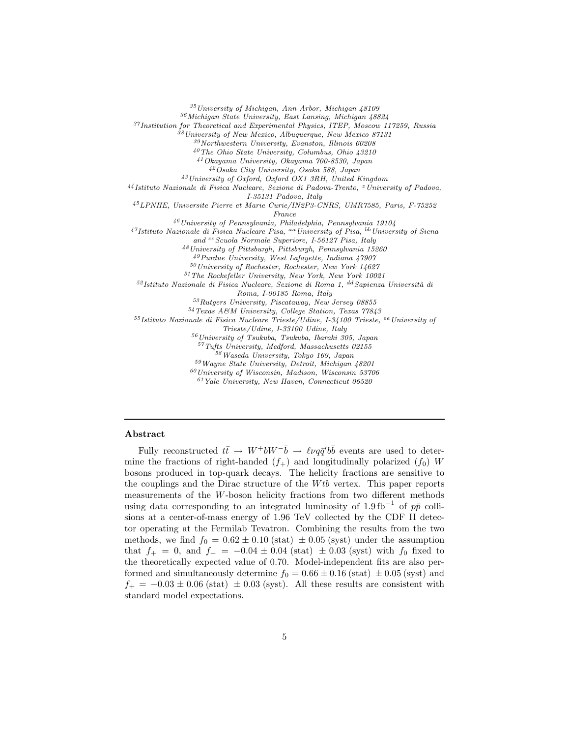University of Michigan, Ann Arbor, Michigan 48109 Michigan State University, East Lansing, Michigan 48824 Institution for Theoretical and Experimental Physics, ITEP, Moscow 117259, Russia University of New Mexico, Albuquerque, New Mexico 87131  $^{39}\!$  Northwestern University, Evanston, Illinois  $60208$ The Ohio State University, Columbus, Ohio 43210 Okayama University, Okayama 700-8530, Japan Osaka City University, Osaka 588, Japan University of Oxford, Oxford OX1 3RH, United Kingdom Istituto Nazionale di Fisica Nucleare, Sezione di Padova-Trento, <sup>z</sup> University of Padova, I-35131 Padova, Italy LPNHE, Universite Pierre et Marie Curie/IN2P3-CNRS, UMR7585, Paris, F-75252 France University of Pennsylvania, Philadelphia, Pennsylvania 19104  $^{47}$ Istituto Nazionale di Fisica Nucleare Pisa, <sup>aa</sup>University of Pisa, <sup>bb</sup>University of Siena and cc Scuola Normale Superiore, I-56127 Pisa, Italy University of Pittsburgh, Pittsburgh, Pennsylvania 15260 Purdue University, West Lafayette, Indiana 47907 University of Rochester, Rochester, New York 14627 The Rockefeller University, New York, New York 10021  $5^2$ Istituto Nazionale di Fisica Nucleare, Sezione di Roma 1, <sup>dd</sup> Sapienza Università di Roma, I-00185 Roma, Italy Rutgers University, Piscataway, New Jersey 08855 Texas A&M University, College Station, Texas 77843  $55I$ stituto Nazionale di Fisica Nucleare Trieste/Udine, I-34100 Trieste, ee University of Trieste/Udine, I-33100 Udine, Italy University of Tsukuba, Tsukuba, Ibaraki 305, Japan Tufts University, Medford, Massachusetts 02155 Waseda University, Tokyo 169, Japan Wayne State University, Detroit, Michigan 48201  $^{60}\!$  University of Wisconsin, Madison, Wisconsin 53706 Yale University, New Haven, Connecticut 06520

## Abstract

Fully reconstructed  $t\bar{t} \rightarrow W^+bW^-\bar{b} \rightarrow \ell\nu q\bar{q}'b\bar{b}$  events are used to determine the fractions of right-handed  $(f_+)$  and longitudinally polarized  $(f_0)$  W bosons produced in top-quark decays. The helicity fractions are sensitive to the couplings and the Dirac structure of the  $Wtb$  vertex. This paper reports measurements of the W-boson helicity fractions from two different methods using data corresponding to an integrated luminosity of 1.9 fb<sup>-1</sup> of  $p\bar{p}$  collisions at a center-of-mass energy of 1.96 TeV collected by the CDF II detector operating at the Fermilab Tevatron. Combining the results from the two methods, we find  $f_0 = 0.62 \pm 0.10$  (stat)  $\pm 0.05$  (syst) under the assumption that  $f_{+} = 0$ , and  $f_{+} = -0.04 \pm 0.04$  (stat)  $\pm 0.03$  (syst) with  $f_{0}$  fixed to the theoretically expected value of 0.70. Model-independent fits are also performed and simultaneously determine  $f_0 = 0.66 \pm 0.16$  (stat)  $\pm 0.05$  (syst) and  $f_{+} = -0.03 \pm 0.06$  (stat)  $\pm 0.03$  (syst). All these results are consistent with standard model expectations.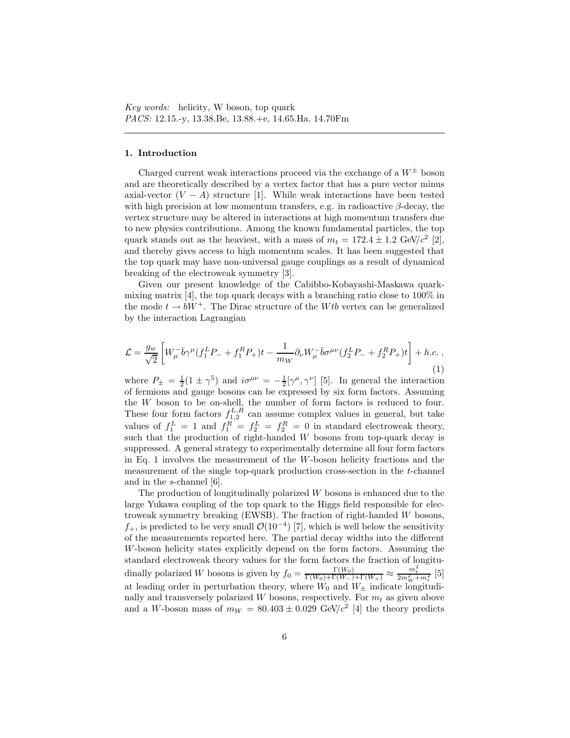### 1. Introduction

Charged current weak interactions proceed via the exchange of a  $W^{\pm}$  boson and are theoretically described by a vertex factor that has a pure vector minus axial-vector  $(V - A)$  structure [1]. While weak interactions have been tested with high precision at low momentum transfers, e.g. in radioactive  $\beta$ -decay, the vertex structure may be altered in interactions at high momentum transfers due to new physics contributions. Among the known fundamental particles, the top quark stands out as the heaviest, with a mass of  $m_t = 172.4 \pm 1.2$  GeV/ $c^2$  [2], and thereby gives access to high momentum scales. It has been suggested that the top quark may have non-universal gauge couplings as a result of dynamical breaking of the electroweak symmetry [3].

Given our present knowledge of the Cabibbo-Kobayashi-Maskawa quarkmixing matrix [4], the top quark decays with a branching ratio close to  $100\%$  in the mode  $t \to bW^+$ . The Dirac structure of the Wtb vertex can be generalized by the interaction Lagrangian

$$
\mathcal{L} = \frac{g_w}{\sqrt{2}} \left[ W^-_{\mu} \bar{b} \gamma^{\mu} (f_1^L P_- + f_1^R P_+) t - \frac{1}{m_W} \partial_{\nu} W^-_{\mu} \bar{b} \sigma^{\mu \nu} (f_2^L P_- + f_2^R P_+) t \right] + h.c. ,
$$
\n(1)

where  $P_{\pm} = \frac{1}{2}(1 \pm \gamma^5)$  and  $i\sigma^{\mu\nu} = -\frac{1}{2}[\gamma^{\mu}, \gamma^{\nu}]$  [5]. In general the interaction of fermions and gauge bosons can be expressed by six form factors. Assuming the W boson to be on-shell, the number of form factors is reduced to four. These four form factors  $f_{1,2}^{L,R}$  can assume complex values in general, but take values of  $f_1^L = 1$  and  $f_1^R = f_2^L = f_2^R = 0$  in standard electroweak theory, such that the production of right-handed W bosons from top-quark decay is suppressed. A general strategy to experimentally determine all four form factors in Eq. 1 involves the measurement of the  $W$ -boson helicity fractions and the measurement of the single top-quark production cross-section in the t-channel and in the s-channel [6].

The production of longitudinally polarized  $W$  bosons is enhanced due to the large Yukawa coupling of the top quark to the Higgs field responsible for electroweak symmetry breaking (EWSB). The fraction of right-handed W bosons,  $f_+$ , is predicted to be very small  $\mathcal{O}(10^{-4})$  [7], which is well below the sensitivity of the measurements reported here. The partial decay widths into the different W-boson helicity states explicitly depend on the form factors. Assuming the standard electroweak theory values for the form factors the fraction of longitudinally polarized W bosons is given by  $f_0 = \frac{\Gamma(W_0)}{\Gamma(W_0) + \Gamma(W_-) + \Gamma(W_+)} \approx \frac{m_t^2}{2m_W^2 + m_t^2}$  [5] at leading order in perturbation theory, where  $W_0$  and  $W_{\pm}$  indicate longitudinally and transversely polarized  $W$  bosons, respectively. For  $m_t$  as given above and a W-boson mass of  $m_W = 80.403 \pm 0.029$  GeV/ $c^2$  [4] the theory predicts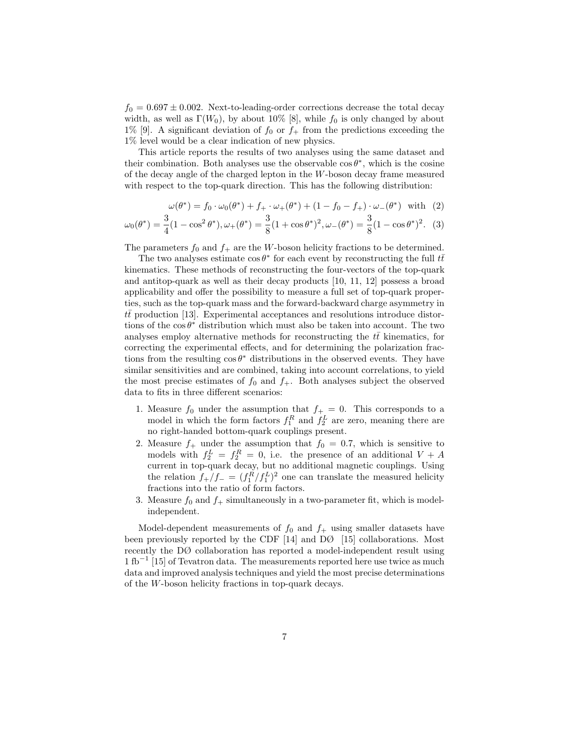$f_0 = 0.697 \pm 0.002$ . Next-to-leading-order corrections decrease the total decay width, as well as  $\Gamma(W_0)$ , by about 10% [8], while  $f_0$  is only changed by about 1% [9]. A significant deviation of  $f_0$  or  $f_+$  from the predictions exceeding the 1% level would be a clear indication of new physics.

This article reports the results of two analyses using the same dataset and their combination. Both analyses use the observable  $\cos \theta^*$ , which is the cosine of the decay angle of the charged lepton in the W-boson decay frame measured with respect to the top-quark direction. This has the following distribution:

$$
\omega(\theta^*) = f_0 \cdot \omega_0(\theta^*) + f_+ \cdot \omega_+(\theta^*) + (1 - f_0 - f_+) \cdot \omega_-(\theta^*) \text{ with } (2)
$$

$$
\omega_0(\theta^*) = \frac{3}{4}(1 - \cos^2 \theta^*), \omega_+(\theta^*) = \frac{3}{8}(1 + \cos \theta^*)^2, \omega_-(\theta^*) = \frac{3}{8}(1 - \cos \theta^*)^2. \tag{3}
$$

The parameters  $f_0$  and  $f_+$  are the W-boson helicity fractions to be determined.

The two analyses estimate  $\cos \theta^*$  for each event by reconstructing the full  $t\bar{t}$ kinematics. These methods of reconstructing the four-vectors of the top-quark and antitop-quark as well as their decay products [10, 11, 12] possess a broad applicability and offer the possibility to measure a full set of top-quark properties, such as the top-quark mass and the forward-backward charge asymmetry in  $t\bar{t}$  production [13]. Experimental acceptances and resolutions introduce distortions of the  $\cos \theta^*$  distribution which must also be taken into account. The two analyses employ alternative methods for reconstructing the  $t\bar{t}$  kinematics, for correcting the experimental effects, and for determining the polarization fractions from the resulting  $\cos \theta^*$  distributions in the observed events. They have similar sensitivities and are combined, taking into account correlations, to yield the most precise estimates of  $f_0$  and  $f_+$ . Both analyses subject the observed data to fits in three different scenarios:

- 1. Measure  $f_0$  under the assumption that  $f_+ = 0$ . This corresponds to a model in which the form factors  $f_1^R$  and  $f_2^L$  are zero, meaning there are no right-handed bottom-quark couplings present.
- 2. Measure  $f_+$  under the assumption that  $f_0 = 0.7$ , which is sensitive to models with  $f_2^L = f_2^R = 0$ , i.e. the presence of an additional  $V + A$ current in top-quark decay, but no additional magnetic couplings. Using the relation  $f_{+}/f_{-} = (f_{1}^{R}/f_{1}^{L})^{2}$  one can translate the measured helicity fractions into the ratio of form factors.
- 3. Measure  $f_0$  and  $f_+$  simultaneously in a two-parameter fit, which is modelindependent.

Model-dependent measurements of  $f_0$  and  $f_+$  using smaller datasets have been previously reported by the CDF [14] and DØ [15] collaborations. Most recently the DØ collaboration has reported a model-independent result using 1 fb<sup>−</sup><sup>1</sup> [15] of Tevatron data. The measurements reported here use twice as much data and improved analysis techniques and yield the most precise determinations of the W-boson helicity fractions in top-quark decays.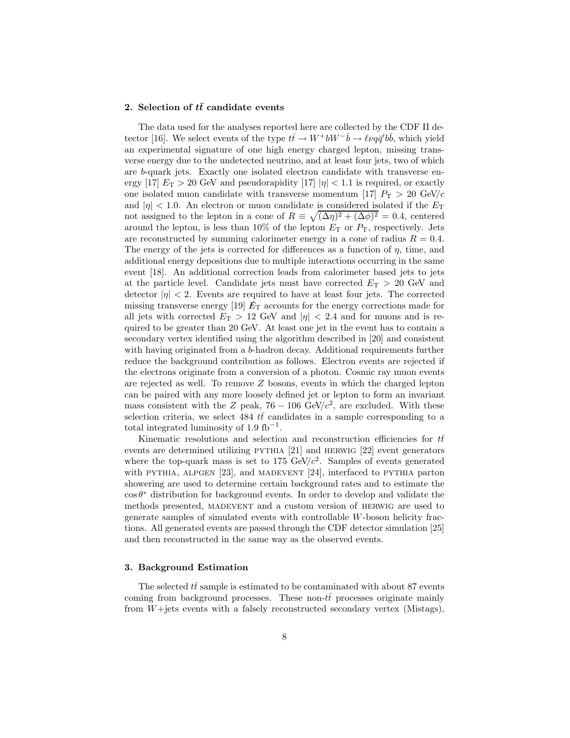#### 2. Selection of  $t\bar{t}$  candidate events

The data used for the analyses reported here are collected by the CDF II detector [16]. We select events of the type  $t\bar{t} \to W^+ b W^- \bar{b} \to \ell \nu q \bar{q}' b \bar{b}$ , which yield an experimental signature of one high energy charged lepton, missing transverse energy due to the undetected neutrino, and at least four jets, two of which are b-quark jets. Exactly one isolated electron candidate with transverse energy [17]  $E_T > 20$  GeV and pseudorapidity [17]  $|\eta| < 1.1$  is required, or exactly one isolated muon candidate with transverse momentum [17]  $P_T > 20 \text{ GeV}/c$ and  $|\eta|$  < 1.0. An electron or muon candidate is considered isolated if the  $E_{\rm T}$ not assigned to the lepton in a cone of  $R \equiv \sqrt{(\Delta \eta)^2 + (\Delta \phi)^2} = 0.4$ , centered around the lepton, is less than  $10\%$  of the lepton  $E_T$  or  $P_T$ , respectively. Jets are reconstructed by summing calorimeter energy in a cone of radius  $R = 0.4$ . The energy of the jets is corrected for differences as a function of  $\eta$ , time, and additional energy depositions due to multiple interactions occurring in the same event [18]. An additional correction leads from calorimeter based jets to jets at the particle level. Candidate jets must have corrected  $E_T > 20$  GeV and detector  $|\eta|$  < 2. Events are required to have at least four jets. The corrected missing transverse energy  $[19]$   $E_T$  accounts for the energy corrections made for all jets with corrected  $E_T > 12$  GeV and  $|\eta| < 2.4$  and for muons and is required to be greater than 20 GeV. At least one jet in the event has to contain a secondary vertex identified using the algorithm described in [20] and consistent with having originated from a b-hadron decay. Additional requirements further reduce the background contribution as follows. Electron events are rejected if the electrons originate from a conversion of a photon. Cosmic ray muon events are rejected as well. To remove  $Z$  bosons, events in which the charged lepton can be paired with any more loosely defined jet or lepton to form an invariant mass consistent with the Z peak,  $76 - 106$  GeV/ $c^2$ , are excluded. With these selection criteria, we select 484  $t\bar{t}$  candidates in a sample corresponding to a total integrated luminosity of 1.9  $\text{fb}^{-1}$ .

Kinematic resolutions and selection and reconstruction efficiencies for  $t\bar{t}$ events are determined utilizing PYTHIA [21] and HERWIG [22] event generators where the top-quark mass is set to 175 GeV/ $c^2$ . Samples of events generated with PYTHIA, ALPGEN [23], and MADEVENT [24], interfaced to PYTHIA parton showering are used to determine certain background rates and to estimate the  $\cos \theta^*$  distribution for background events. In order to develop and validate the methods presented, MADEVENT and a custom version of HERWIG are used to generate samples of simulated events with controllable W-boson helicity fractions. All generated events are passed through the CDF detector simulation [25] and then reconstructed in the same way as the observed events.

## 3. Background Estimation

The selected  $tt$  sample is estimated to be contaminated with about 87 events coming from background processes. These non- $t\bar{t}$  processes originate mainly from W+jets events with a falsely reconstructed secondary vertex (Mistags),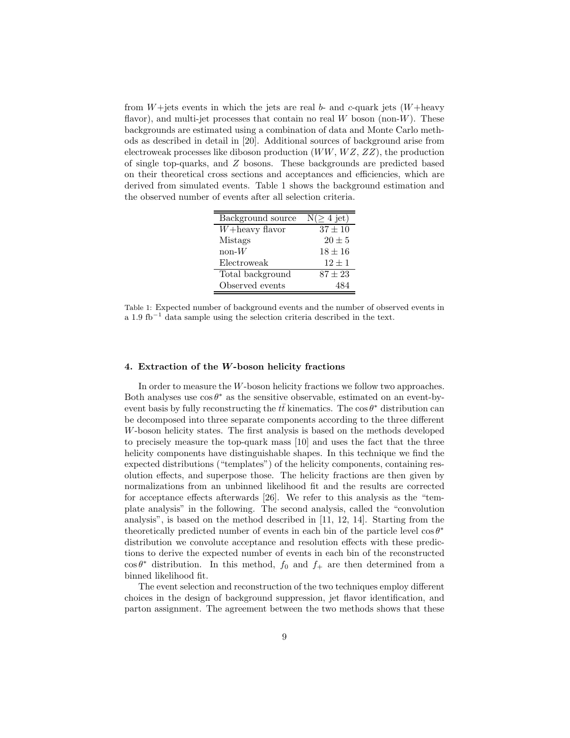from  $W +$ jets events in which the jets are real  $b$ - and  $c$ -quark jets  $(W +$ heavy flavor), and multi-jet processes that contain no real  $W$  boson (non- $W$ ). These backgrounds are estimated using a combination of data and Monte Carlo methods as described in detail in [20]. Additional sources of background arise from electroweak processes like diboson production  $(WW, WZ, ZZ)$ , the production of single top-quarks, and Z bosons. These backgrounds are predicted based on their theoretical cross sections and acceptances and efficiencies, which are derived from simulated events. Table 1 shows the background estimation and the observed number of events after all selection criteria.

| Background source  | $N(\geq 4$ jet) |
|--------------------|-----------------|
| $W +$ heavy flavor | $37 \pm 10$     |
| Mistags            | $20 \pm 5$      |
| $\text{non-}W$     | $18 \pm 16$     |
| Electroweak        | $12 \pm 1$      |
| Total background   | $87 + 23$       |
| Observed events    |                 |

Table 1: Expected number of background events and the number of observed events in a 1.9 fb<sup>−</sup><sup>1</sup> data sample using the selection criteria described in the text.

### 4. Extraction of the W-boson helicity fractions

In order to measure the W-boson helicity fractions we follow two approaches. Both analyses use  $\cos \theta^*$  as the sensitive observable, estimated on an event-byevent basis by fully reconstructing the  $t\bar{t}$  kinematics. The cos  $\theta^*$  distribution can be decomposed into three separate components according to the three different W-boson helicity states. The first analysis is based on the methods developed to precisely measure the top-quark mass [10] and uses the fact that the three helicity components have distinguishable shapes. In this technique we find the expected distributions ("templates") of the helicity components, containing resolution effects, and superpose those. The helicity fractions are then given by normalizations from an unbinned likelihood fit and the results are corrected for acceptance effects afterwards [26]. We refer to this analysis as the "template analysis" in the following. The second analysis, called the "convolution analysis", is based on the method described in [11, 12, 14]. Starting from the theoretically predicted number of events in each bin of the particle level  $\cos \theta^*$ distribution we convolute acceptance and resolution effects with these predictions to derive the expected number of events in each bin of the reconstructed  $\cos \theta^*$  distribution. In this method,  $f_0$  and  $f_+$  are then determined from a binned likelihood fit.

The event selection and reconstruction of the two techniques employ different choices in the design of background suppression, jet flavor identification, and parton assignment. The agreement between the two methods shows that these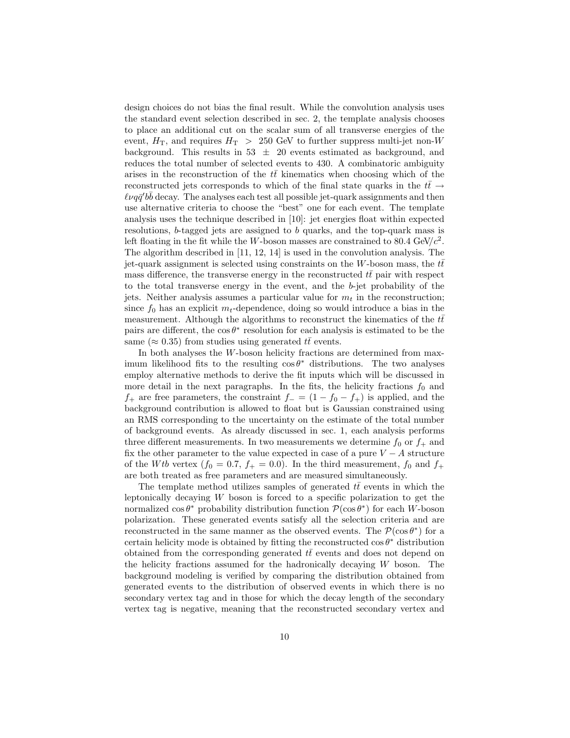design choices do not bias the final result. While the convolution analysis uses the standard event selection described in sec. 2, the template analysis chooses to place an additional cut on the scalar sum of all transverse energies of the event,  $H_T$ , and requires  $H_T > 250$  GeV to further suppress multi-jet non-W background. This results in  $53 \pm 20$  events estimated as background, and reduces the total number of selected events to 430. A combinatoric ambiguity arises in the reconstruction of the  $t\bar{t}$  kinematics when choosing which of the reconstructed jets corresponds to which of the final state quarks in the  $t\bar{t} \rightarrow$  $\ell\nu q\bar{q}' b\bar{b}$  decay. The analyses each test all possible jet-quark assignments and then use alternative criteria to choose the "best" one for each event. The template analysis uses the technique described in [10]: jet energies float within expected resolutions, b-tagged jets are assigned to b quarks, and the top-quark mass is left floating in the fit while the W-boson masses are constrained to 80.4 GeV/ $c^2$ . The algorithm described in [11, 12, 14] is used in the convolution analysis. The jet-quark assignment is selected using constraints on the W-boson mass, the  $t\bar{t}$ mass difference, the transverse energy in the reconstructed  $t\bar{t}$  pair with respect to the total transverse energy in the event, and the b-jet probability of the jets. Neither analysis assumes a particular value for  $m_t$  in the reconstruction; since  $f_0$  has an explicit  $m_t$ -dependence, doing so would introduce a bias in the measurement. Although the algorithms to reconstruct the kinematics of the  $t\bar{t}$ pairs are different, the  $\cos \theta^*$  resolution for each analysis is estimated to be the same ( $\approx 0.35$ ) from studies using generated  $t\bar{t}$  events.

In both analyses the W-boson helicity fractions are determined from maximum likelihood fits to the resulting  $\cos \theta^*$  distributions. The two analyses employ alternative methods to derive the fit inputs which will be discussed in more detail in the next paragraphs. In the fits, the helicity fractions  $f_0$  and  $f_+$  are free parameters, the constraint  $f_ - = (1 - f_0 - f_+)$  is applied, and the background contribution is allowed to float but is Gaussian constrained using an RMS corresponding to the uncertainty on the estimate of the total number of background events. As already discussed in sec. 1, each analysis performs three different measurements. In two measurements we determine  $f_0$  or  $f_+$  and fix the other parameter to the value expected in case of a pure  $V - A$  structure of the Wtb vertex  $(f_0 = 0.7, f_+ = 0.0)$ . In the third measurement,  $f_0$  and  $f_+$ are both treated as free parameters and are measured simultaneously.

The template method utilizes samples of generated  $t\bar{t}$  events in which the leptonically decaying  $W$  boson is forced to a specific polarization to get the normalized  $\cos \theta^*$  probability distribution function  $\mathcal{P}(\cos \theta^*)$  for each W-boson polarization. These generated events satisfy all the selection criteria and are reconstructed in the same manner as the observed events. The  $\mathcal{P}(\cos \theta^*)$  for a certain helicity mode is obtained by fitting the reconstructed  $\cos \theta^*$  distribution obtained from the corresponding generated  $t\bar{t}$  events and does not depend on the helicity fractions assumed for the hadronically decaying  $W$  boson. The background modeling is verified by comparing the distribution obtained from generated events to the distribution of observed events in which there is no secondary vertex tag and in those for which the decay length of the secondary vertex tag is negative, meaning that the reconstructed secondary vertex and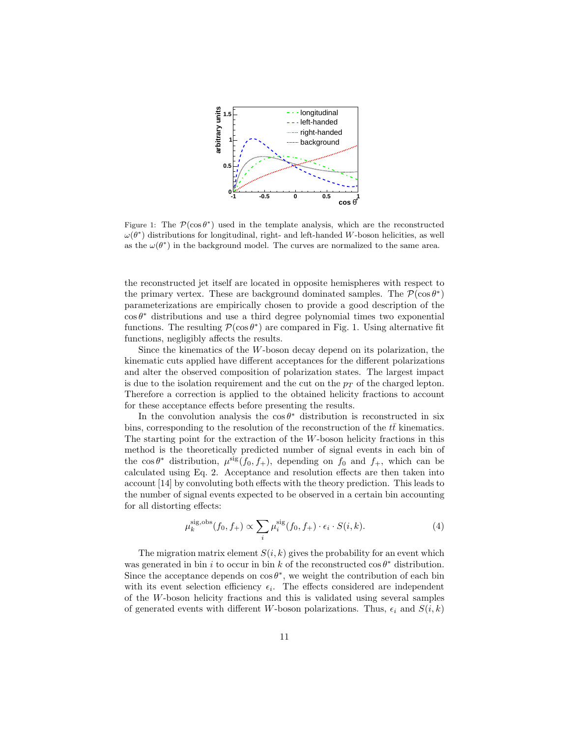

Figure 1: The  $\mathcal{P}(\cos \theta^*)$  used in the template analysis, which are the reconstructed  $\omega(\theta^*)$  distributions for longitudinal, right- and left-handed W-boson helicities, as well as the  $\omega(\theta^*)$  in the background model. The curves are normalized to the same area.

the reconstructed jet itself are located in opposite hemispheres with respect to the primary vertex. These are background dominated samples. The  $\mathcal{P}(\cos \theta^*)$ parameterizations are empirically chosen to provide a good description of the  $\cos \theta^*$  distributions and use a third degree polynomial times two exponential functions. The resulting  $P(\cos \theta^*)$  are compared in Fig. 1. Using alternative fit functions, negligibly affects the results.

Since the kinematics of the  $W$ -boson decay depend on its polarization, the kinematic cuts applied have different acceptances for the different polarizations and alter the observed composition of polarization states. The largest impact is due to the isolation requirement and the cut on the  $p<sub>T</sub>$  of the charged lepton. Therefore a correction is applied to the obtained helicity fractions to account for these acceptance effects before presenting the results.

In the convolution analysis the  $\cos \theta^*$  distribution is reconstructed in six bins, corresponding to the resolution of the reconstruction of the  $tt$  kinematics. The starting point for the extraction of the W-boson helicity fractions in this method is the theoretically predicted number of signal events in each bin of the  $\cos \theta^*$  distribution,  $\mu^{\text{sig}}(f_0, f_+)$ , depending on  $f_0$  and  $f_+$ , which can be calculated using Eq. 2. Acceptance and resolution effects are then taken into account [14] by convoluting both effects with the theory prediction. This leads to the number of signal events expected to be observed in a certain bin accounting for all distorting effects:

$$
\mu_k^{\text{sig,obs}}(f_0, f_+) \propto \sum_i \mu_i^{\text{sig}}(f_0, f_+) \cdot \epsilon_i \cdot S(i, k). \tag{4}
$$

The migration matrix element  $S(i, k)$  gives the probability for an event which was generated in bin i to occur in bin k of the reconstructed  $\cos \theta^*$  distribution. Since the acceptance depends on  $\cos \theta^*$ , we weight the contribution of each bin with its event selection efficiency  $\epsilon_i$ . The effects considered are independent of the W-boson helicity fractions and this is validated using several samples of generated events with different W-boson polarizations. Thus,  $\epsilon_i$  and  $S(i, k)$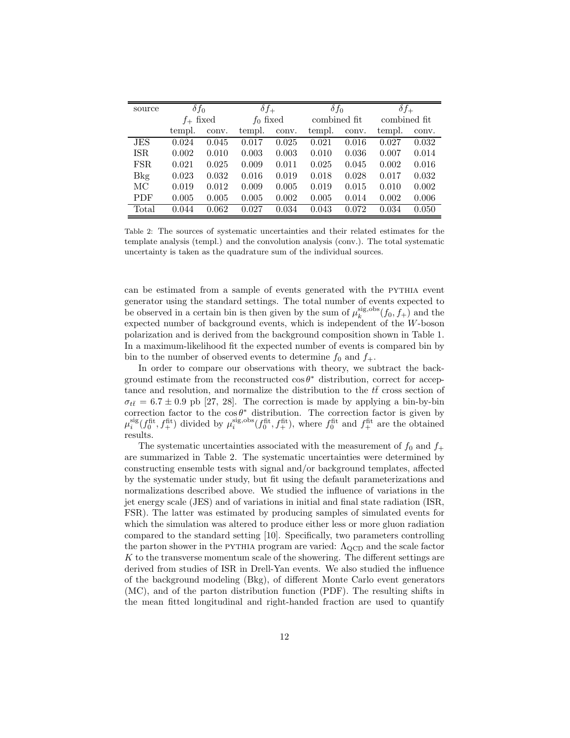| source     | $\delta f_0$ |       | $\delta f_+$ |       | $\delta f_0$ |       | $\delta f_+$ |       |
|------------|--------------|-------|--------------|-------|--------------|-------|--------------|-------|
|            | $f_+$ fixed  |       | $f_0$ fixed  |       | combined fit |       | combined fit |       |
|            | templ.       | conv. | templ.       | conv. | templ.       | conv. | templ.       | conv. |
| JES        | 0.024        | 0.045 | 0.017        | 0.025 | 0.021        | 0.016 | 0.027        | 0.032 |
| <b>ISR</b> | 0.002        | 0.010 | 0.003        | 0.003 | 0.010        | 0.036 | 0.007        | 0.014 |
| FSR.       | 0.021        | 0.025 | 0.009        | 0.011 | 0.025        | 0.045 | 0.002        | 0.016 |
| <b>Bkg</b> | 0.023        | 0.032 | 0.016        | 0.019 | 0.018        | 0.028 | 0.017        | 0.032 |
| MC         | 0.019        | 0.012 | 0.009        | 0.005 | 0.019        | 0.015 | 0.010        | 0.002 |
| <b>PDF</b> | 0.005        | 0.005 | 0.005        | 0.002 | 0.005        | 0.014 | 0.002        | 0.006 |
| Total      | 0.044        | 0.062 | 0.027        | 0.034 | 0.043        | 0.072 | 0.034        | 0.050 |

Table 2: The sources of systematic uncertainties and their related estimates for the template analysis (templ.) and the convolution analysis (conv.). The total systematic uncertainty is taken as the quadrature sum of the individual sources.

can be estimated from a sample of events generated with the PYTHIA event generator using the standard settings. The total number of events expected to be observed in a certain bin is then given by the sum of  $\mu_k^{\text{sig,obs}}(f_0, f_+)$  and the expected number of background events, which is independent of the W-boson polarization and is derived from the background composition shown in Table 1. In a maximum-likelihood fit the expected number of events is compared bin by bin to the number of observed events to determine  $f_0$  and  $f_+$ .

In order to compare our observations with theory, we subtract the background estimate from the reconstructed  $\cos \theta^*$  distribution, correct for acceptance and resolution, and normalize the distribution to the  $tt$  cross section of  $\sigma_{t\bar{t}} = 6.7 \pm 0.9$  pb [27, 28]. The correction is made by applying a bin-by-bin correction factor to the  $\cos \theta^*$  distribution. The correction factor is given by  $\mu_i^{\text{sig}}(f_0^{\text{fit}}, f_+^{\text{fit}})$  divided by  $\mu_i^{\text{sig,obs}}(f_0^{\text{fit}}, f_+^{\text{fit}})$ , where  $f_0^{\text{fit}}$  and  $f_+^{\text{fit}}$  are the obtained results.

The systematic uncertainties associated with the measurement of  $f_0$  and  $f_+$ are summarized in Table 2. The systematic uncertainties were determined by constructing ensemble tests with signal and/or background templates, affected by the systematic under study, but fit using the default parameterizations and normalizations described above. We studied the influence of variations in the jet energy scale (JES) and of variations in initial and final state radiation (ISR, FSR). The latter was estimated by producing samples of simulated events for which the simulation was altered to produce either less or more gluon radiation compared to the standard setting [10]. Specifically, two parameters controlling the parton shower in the PYTHIA program are varied:  $\Lambda_{\rm QCD}$  and the scale factor  $K$  to the transverse momentum scale of the showering. The different settings are derived from studies of ISR in Drell-Yan events. We also studied the influence of the background modeling (Bkg), of different Monte Carlo event generators (MC), and of the parton distribution function (PDF). The resulting shifts in the mean fitted longitudinal and right-handed fraction are used to quantify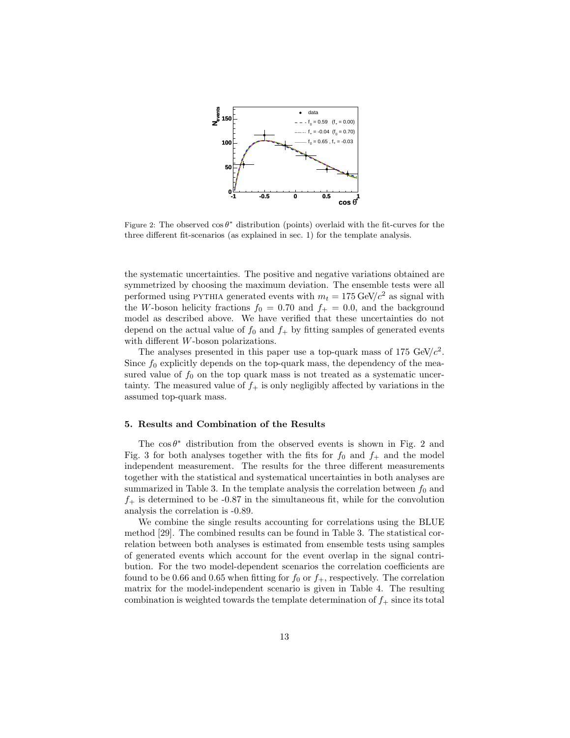

Figure 2: The observed  $\cos \theta^*$  distribution (points) overlaid with the fit-curves for the three different fit-scenarios (as explained in sec. 1) for the template analysis.

the systematic uncertainties. The positive and negative variations obtained are symmetrized by choosing the maximum deviation. The ensemble tests were all performed using PYTHIA generated events with  $m_t = 175 \text{ GeV}/c^2$  as signal with the W-boson helicity fractions  $f_0 = 0.70$  and  $f_+ = 0.0$ , and the background model as described above. We have verified that these uncertainties do not depend on the actual value of  $f_0$  and  $f_+$  by fitting samples of generated events with different W-boson polarizations.

The analyses presented in this paper use a top-quark mass of 175 GeV/ $c^2$ . Since  $f_0$  explicitly depends on the top-quark mass, the dependency of the measured value of  $f_0$  on the top quark mass is not treated as a systematic uncertainty. The measured value of  $f_+$  is only negligibly affected by variations in the assumed top-quark mass.

#### 5. Results and Combination of the Results

The  $\cos \theta^*$  distribution from the observed events is shown in Fig. 2 and Fig. 3 for both analyses together with the fits for  $f_0$  and  $f_+$  and the model independent measurement. The results for the three different measurements together with the statistical and systematical uncertainties in both analyses are summarized in Table 3. In the template analysis the correlation between  $f_0$  and  $f_{+}$  is determined to be -0.87 in the simultaneous fit, while for the convolution analysis the correlation is -0.89.

We combine the single results accounting for correlations using the BLUE method [29]. The combined results can be found in Table 3. The statistical correlation between both analyses is estimated from ensemble tests using samples of generated events which account for the event overlap in the signal contribution. For the two model-dependent scenarios the correlation coefficients are found to be 0.66 and 0.65 when fitting for  $f_0$  or  $f_+$ , respectively. The correlation matrix for the model-independent scenario is given in Table 4. The resulting combination is weighted towards the template determination of  $f_+$  since its total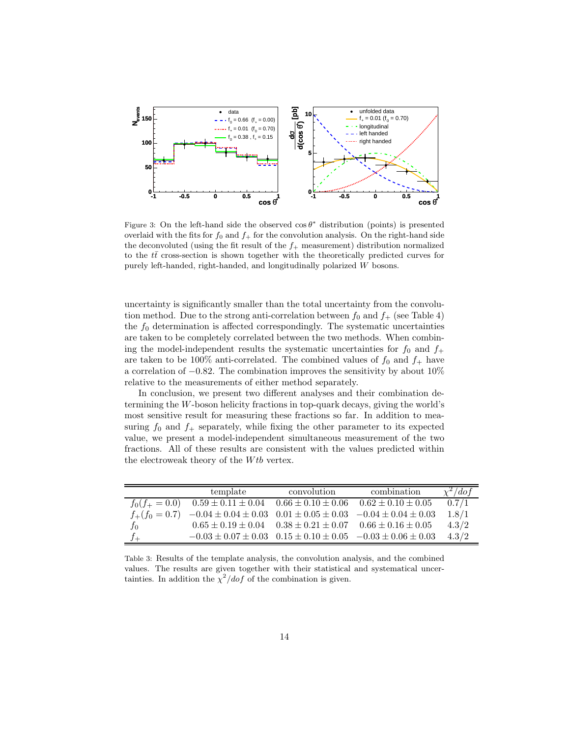

Figure 3: On the left-hand side the observed  $\cos \theta^*$  distribution (points) is presented overlaid with the fits for  $f_0$  and  $f_+$  for the convolution analysis. On the right-hand side the deconvoluted (using the fit result of the  $f_+$  measurement) distribution normalized to the  $t\bar{t}$  cross-section is shown together with the theoretically predicted curves for purely left-handed, right-handed, and longitudinally polarized W bosons.

uncertainty is significantly smaller than the total uncertainty from the convolution method. Due to the strong anti-correlation between  $f_0$  and  $f_+$  (see Table 4) the  $f_0$  determination is affected correspondingly. The systematic uncertainties are taken to be completely correlated between the two methods. When combining the model-independent results the systematic uncertainties for  $f_0$  and  $f_+$ are taken to be 100% anti-correlated. The combined values of  $f_0$  and  $f_+$  have a correlation of  $-0.82$ . The combination improves the sensitivity by about  $10\%$ relative to the measurements of either method separately.

In conclusion, we present two different analyses and their combination determining the W-boson helicity fractions in top-quark decays, giving the world's most sensitive result for measuring these fractions so far. In addition to measuring  $f_0$  and  $f_+$  separately, while fixing the other parameter to its expected value, we present a model-independent simultaneous measurement of the two fractions. All of these results are consistent with the values predicted within the electroweak theory of the  $Wtb$  vertex.

|                  | template                                                                                        | convolution | combination                                                                  | $\chi^2/dof$ |
|------------------|-------------------------------------------------------------------------------------------------|-------------|------------------------------------------------------------------------------|--------------|
| $f_0(f_+ = 0.0)$ | $0.59 \pm 0.11 \pm 0.04$ $0.66 \pm 0.10 \pm 0.06$ $0.62 \pm 0.10 \pm 0.05$                      |             |                                                                              | 0.7/1        |
|                  | $f_{+}(f_0 = 0.7)$ $-0.04 \pm 0.04 \pm 0.03$ $0.01 \pm 0.05 \pm 0.03$ $-0.04 \pm 0.04 \pm 0.03$ |             |                                                                              | 1.8/1        |
| $f_{0}$          |                                                                                                 |             | $0.65 \pm 0.19 \pm 0.04$ $0.38 \pm 0.21 \pm 0.07$ $0.66 \pm 0.16 \pm 0.05$   | 4.3/2        |
|                  |                                                                                                 |             | $-0.03 \pm 0.07 \pm 0.03$ $0.15 \pm 0.10 \pm 0.05$ $-0.03 \pm 0.06 \pm 0.03$ | 4.3/2        |

Table 3: Results of the template analysis, the convolution analysis, and the combined values. The results are given together with their statistical and systematical uncertainties. In addition the  $\chi^2/dof$  of the combination is given.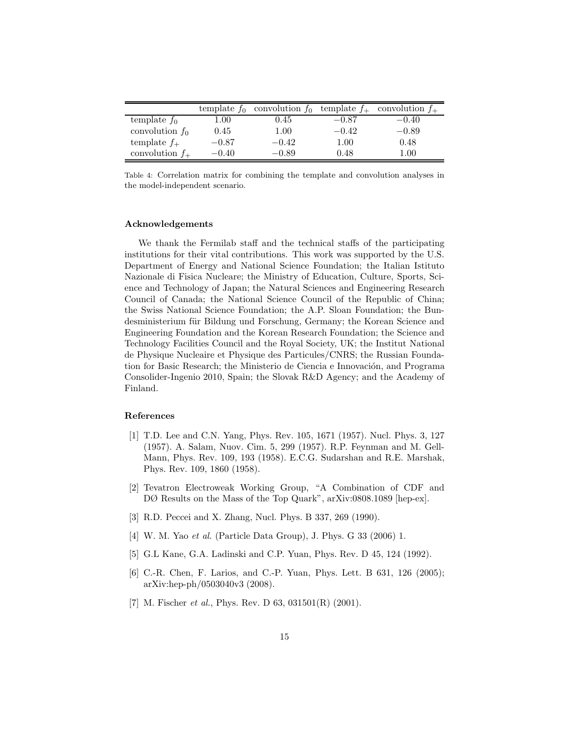|                   | template $f_0$ | convolution $f_0$ template $f_+$ |          | convolution $f_{+}$ |
|-------------------|----------------|----------------------------------|----------|---------------------|
| template $f_0$    | 00.1           | $\rm 0.45$                       | $-0.87$  | $-0.40$             |
| convolution $f_0$ | 0.45           | $1.00\,$                         | $-0.42$  | $-0.89$             |
| template $f_+$    | $-0.87$        | $-0.42$                          | $1.00\,$ | 0.48                |
| convolution $f_+$ | $-0.40$        | $-0.89$                          | 0.48     | $1.00\,$            |

Table 4: Correlation matrix for combining the template and convolution analyses in the model-independent scenario.

#### Acknowledgements

We thank the Fermilab staff and the technical staffs of the participating institutions for their vital contributions. This work was supported by the U.S. Department of Energy and National Science Foundation; the Italian Istituto Nazionale di Fisica Nucleare; the Ministry of Education, Culture, Sports, Science and Technology of Japan; the Natural Sciences and Engineering Research Council of Canada; the National Science Council of the Republic of China; the Swiss National Science Foundation; the A.P. Sloan Foundation; the Bundesministerium für Bildung und Forschung, Germany; the Korean Science and Engineering Foundation and the Korean Research Foundation; the Science and Technology Facilities Council and the Royal Society, UK; the Institut National de Physique Nucleaire et Physique des Particules/CNRS; the Russian Foundation for Basic Research; the Ministerio de Ciencia e Innovación, and Programa Consolider-Ingenio 2010, Spain; the Slovak R&D Agency; and the Academy of Finland.

## References

- [1] T.D. Lee and C.N. Yang, Phys. Rev. 105, 1671 (1957). Nucl. Phys. 3, 127 (1957). A. Salam, Nuov. Cim. 5, 299 (1957). R.P. Feynman and M. Gell-Mann, Phys. Rev. 109, 193 (1958). E.C.G. Sudarshan and R.E. Marshak, Phys. Rev. 109, 1860 (1958).
- [2] Tevatron Electroweak Working Group, "A Combination of CDF and DØ Results on the Mass of the Top Quark", arXiv:0808.1089 [hep-ex].
- [3] R.D. Peccei and X. Zhang, Nucl. Phys. B 337, 269 (1990).
- [4] W. M. Yao *et al.* (Particle Data Group), J. Phys. G 33 (2006) 1.
- [5] G.L Kane, G.A. Ladinski and C.P. Yuan, Phys. Rev. D 45, 124 (1992).
- [6] C.-R. Chen, F. Larios, and C.-P. Yuan, Phys. Lett. B 631, 126 (2005); arXiv:hep-ph/0503040v3 (2008).
- [7] M. Fischer *et al.*, Phys. Rev. D 63, 031501(R) (2001).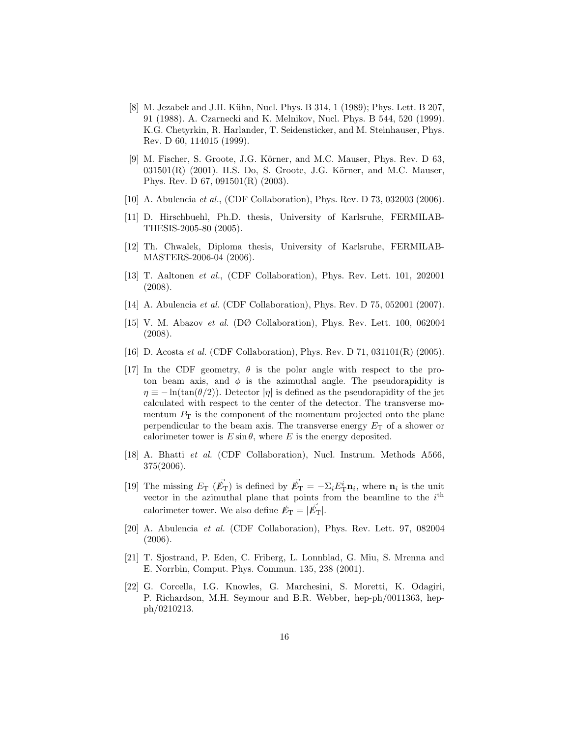- [8] M. Jezabek and J.H. Kühn, Nucl. Phys. B 314, 1 (1989); Phys. Lett. B 207, 91 (1988). A. Czarnecki and K. Melnikov, Nucl. Phys. B 544, 520 (1999). K.G. Chetyrkin, R. Harlander, T. Seidensticker, and M. Steinhauser, Phys. Rev. D 60, 114015 (1999).
- [9] M. Fischer, S. Groote, J.G. Körner, and M.C. Mauser, Phys. Rev. D 63,  $031501(R)$  (2001). H.S. Do, S. Groote, J.G. Körner, and M.C. Mauser, Phys. Rev. D 67, 091501(R) (2003).
- [10] A. Abulencia *et al.*, (CDF Collaboration), Phys. Rev. D 73, 032003 (2006).
- [11] D. Hirschbuehl, Ph.D. thesis, University of Karlsruhe, FERMILAB-THESIS-2005-80 (2005).
- [12] Th. Chwalek, Diploma thesis, University of Karlsruhe, FERMILAB-MASTERS-2006-04 (2006).
- [13] T. Aaltonen *et al.*, (CDF Collaboration), Phys. Rev. Lett. 101, 202001 (2008).
- [14] A. Abulencia *et al.* (CDF Collaboration), Phys. Rev. D 75, 052001 (2007).
- [15] V. M. Abazov *et al.* (DØ Collaboration), Phys. Rev. Lett. 100, 062004 (2008).
- [16] D. Acosta *et al.* (CDF Collaboration), Phys. Rev. D 71, 031101(R) (2005).
- [17] In the CDF geometry,  $\theta$  is the polar angle with respect to the proton beam axis, and  $\phi$  is the azimuthal angle. The pseudorapidity is  $\eta \equiv -\ln(\tan(\theta/2))$ . Detector  $|\eta|$  is defined as the pseudorapidity of the jet calculated with respect to the center of the detector. The transverse momentum  $P<sub>T</sub>$  is the component of the momentum projected onto the plane perpendicular to the beam axis. The transverse energy  $E_T$  of a shower or calorimeter tower is  $E \sin \theta$ , where E is the energy deposited.
- [18] A. Bhatti *et al.* (CDF Collaboration), Nucl. Instrum. Methods A566, 375(2006).
- [19] The missing  $E_T$  ( $\vec{E_T}$ ) is defined by  $\vec{E_T} = -\sum_i E_T^i \mathbf{n}_i$ , where  $\mathbf{n}_i$  is the unit vector in the azimuthal plane that points from the beamline to the  $i<sup>th</sup>$ calorimeter tower. We also define  $\vec{E}_{\text{T}} = |\vec{E}_{\text{T}}|$ .
- [20] A. Abulencia *et al.* (CDF Collaboration), Phys. Rev. Lett. 97, 082004 (2006).
- [21] T. Sjostrand, P. Eden, C. Friberg, L. Lonnblad, G. Miu, S. Mrenna and E. Norrbin, Comput. Phys. Commun. 135, 238 (2001).
- [22] G. Corcella, I.G. Knowles, G. Marchesini, S. Moretti, K. Odagiri, P. Richardson, M.H. Seymour and B.R. Webber, hep-ph/0011363, hepph/0210213.